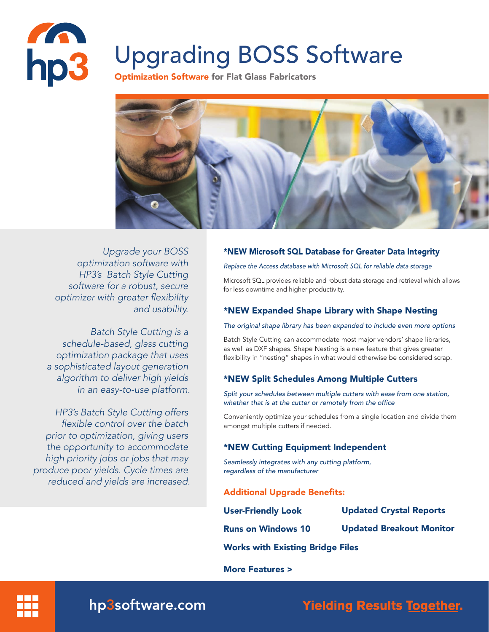

# Upgrading BOSS Software

**Optimization Software for Flat Glass Fabricators** 



*Upgrade your BOSS optimization software with HP3's Batch Style Cutting software for a robust, secure*  optimizer with greater flexibility *and usability.* 

*Batch Style Cutting is a schedule-based, glass cutting optimization package that uses a sophisticated layout generation algorithm to deliver high yields in an easy-to-use platform.* 

*HP3's Batch Style Cutting offers*  flexible control over the batch *prior to optimization, giving users the opportunity to accommodate high priority jobs or jobs that may produce poor yields. Cycle times are reduced and yields are increased.* 

# \*NEW Microsoft SQL Database for Greater Data Integrity

#### *Replace the Access database with Microsoft SQL for reliable data storage*

Microsoft SQL provides reliable and robust data storage and retrieval which allows for less downtime and higher productivity.

# \*NEW Expanded Shape Library with Shape Nesting

#### *The original shape library has been expanded to include even more options*

Batch Style Cutting can accommodate most major vendors' shape libraries, as well as DXF shapes. Shape Nesting is a new feature that gives greater flexibility in "nesting" shapes in what would otherwise be considered scrap.

# \*NEW Split Schedules Among Multiple Cutters

*Split your schedules between multiple cutters with ease from one station,*  whether that is at the cutter or remotely from the office

Conveniently optimize your schedules from a single location and divide them amongst multiple cutters if needed.

# \*NEW Cutting Equipment Independent

*Seamlessly integrates with any cutting platform, regardless of the manufacturer*

# Additional Upgrade Benefits:

| <b>User-Friendly Look</b>               | <b>Updated Crystal Reports</b>  |
|-----------------------------------------|---------------------------------|
| <b>Runs on Windows 10</b>               | <b>Updated Breakout Monitor</b> |
| <b>Works with Existing Bridge Files</b> |                                 |

More Features >



hp3software.com

**Yielding Results Together.**